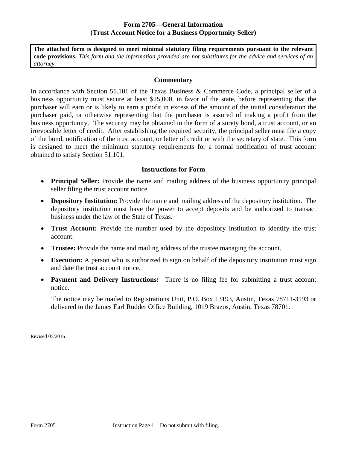## **Form 2705—General Information (Trust Account Notice for a Business Opportunity Seller)**

**The attached form is designed to meet minimal statutory filing requirements pursuant to the relevant code provisions.** *This form and the information provided are not substitutes for the advice and services of an attorney.* 

## **Commentary**

In accordance with Section 51.101 of the Texas Business & Commerce Code, a principal seller of a business opportunity must secure at least \$25,000, in favor of the state, before representing that the purchaser will earn or is likely to earn a profit in excess of the amount of the initial consideration the purchaser paid, or otherwise representing that the purchaser is assured of making a profit from the business opportunity. The security may be obtained in the form of a surety bond, a trust account, or an irrevocable letter of credit. After establishing the required security, the principal seller must file a copy of the bond, notification of the trust account, or letter of credit or with the secretary of state. This form is designed to meet the minimum statutory requirements for a formal notification of trust account obtained to satisfy Section 51.101.

## **Instructions for Form**

- **Principal Seller:** Provide the name and mailing address of the business opportunity principal seller filing the trust account notice.
- **Depository Institution:** Provide the name and mailing address of the depository institution. The depository institution must have the power to accept deposits and be authorized to transact business under the law of the State of Texas.
- **Trust Account:** Provide the number used by the depository institution to identify the trust account.
- **Trustee:** Provide the name and mailing address of the trustee managing the account.
- **Execution:** A person who is authorized to sign on behalf of the depository institution must sign and date the trust account notice.
- **Payment and Delivery Instructions:** There is no filing fee for submitting a trust account notice.

The notice may be mailed to Registrations Unit, P.O. Box 13193, Austin, Texas 78711-3193 or delivered to the James Earl Rudder Office Building, 1019 Brazos, Austin, Texas 78701.

Revised 05/2016